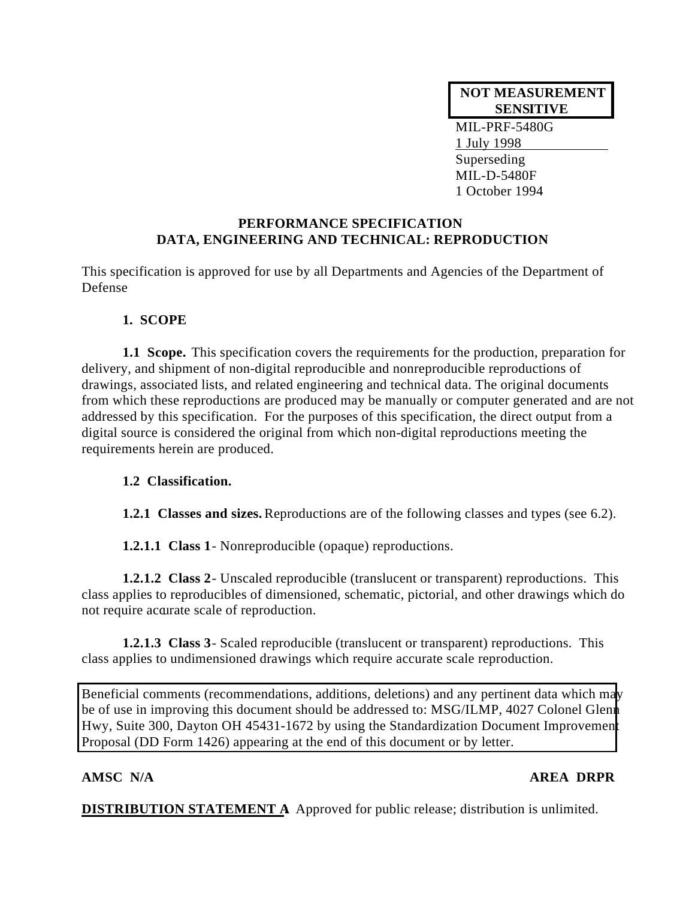## **NOT MEASUREMENT SENSITIVE**

MIL-PRF-5480G 1 July 1998 Superseding MIL-D-5480F 1 October 1994

## **PERFORMANCE SPECIFICATION DATA, ENGINEERING AND TECHNICAL: REPRODUCTION**

This specification is approved for use by all Departments and Agencies of the Department of Defense

## **1. SCOPE**

**1.1 Scope.** This specification covers the requirements for the production, preparation for delivery, and shipment of non-digital reproducible and nonreproducible reproductions of drawings, associated lists, and related engineering and technical data. The original documents from which these reproductions are produced may be manually or computer generated and are not addressed by this specification. For the purposes of this specification, the direct output from a digital source is considered the original from which non-digital reproductions meeting the requirements herein are produced.

## **1.2 Classification.**

**1.2.1 Classes and sizes.** Reproductions are of the following classes and types (see 6.2).

**1.2.1.1 Class 1** - Nonreproducible (opaque) reproductions.

**1.2.1.2 Class 2** - Unscaled reproducible (translucent or transparent) reproductions. This class applies to reproducibles of dimensioned, schematic, pictorial, and other drawings which do not require accurate scale of reproduction.

**1.2.1.3 Class 3** - Scaled reproducible (translucent or transparent) reproductions. This class applies to undimensioned drawings which require accurate scale reproduction.

Beneficial comments (recommendations, additions, deletions) and any pertinent data which may be of use in improving this document should be addressed to: MSG/ILMP, 4027 Colonel Glenn Hwy, Suite 300, Dayton OH 45431-1672 by using the Standardization Document Improvement Proposal (DD Form 1426) appearing at the end of this document or by letter.

## **AMSC N/A AREA DRPR**

**DISTRIBUTION STATEMENT A:** Approved for public release; distribution is unlimited.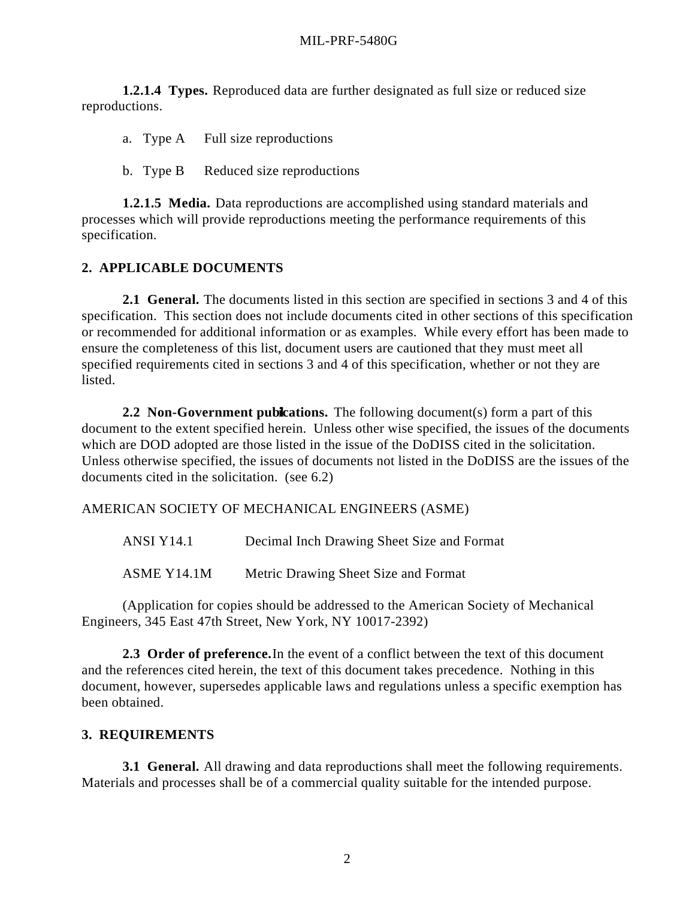**1.2.1.4 Types.** Reproduced data are further designated as full size or reduced size reproductions.

a. Type A Full size reproductions

b. Type B Reduced size reproductions

**1.2.1.5 Media.** Data reproductions are accomplished using standard materials and processes which will provide reproductions meeting the performance requirements of this specification.

## **2. APPLICABLE DOCUMENTS**

**2.1 General.** The documents listed in this section are specified in sections 3 and 4 of this specification. This section does not include documents cited in other sections of this specification or recommended for additional information or as examples. While every effort has been made to ensure the completeness of this list, document users are cautioned that they must meet all specified requirements cited in sections 3 and 4 of this specification, whether or not they are listed.

**2.2 Non-Government publications.** The following document(s) form a part of this document to the extent specified herein. Unless other wise specified, the issues of the documents which are DOD adopted are those listed in the issue of the DoDISS cited in the solicitation. Unless otherwise specified, the issues of documents not listed in the DoDISS are the issues of the documents cited in the solicitation. (see 6.2)

AMERICAN SOCIETY OF MECHANICAL ENGINEERS (ASME)

ANSI Y14.1 Decimal Inch Drawing Sheet Size and Format ASME Y14.1M Metric Drawing Sheet Size and Format

(Application for copies should be addressed to the American Society of Mechanical Engineers, 345 East 47th Street, New York, NY 10017-2392)

**2.3 Order of preference.** In the event of a conflict between the text of this document and the references cited herein, the text of this document takes precedence. Nothing in this document, however, supersedes applicable laws and regulations unless a specific exemption has been obtained.

## **3. REQUIREMENTS**

**3.1 General.** All drawing and data reproductions shall meet the following requirements. Materials and processes shall be of a commercial quality suitable for the intended purpose.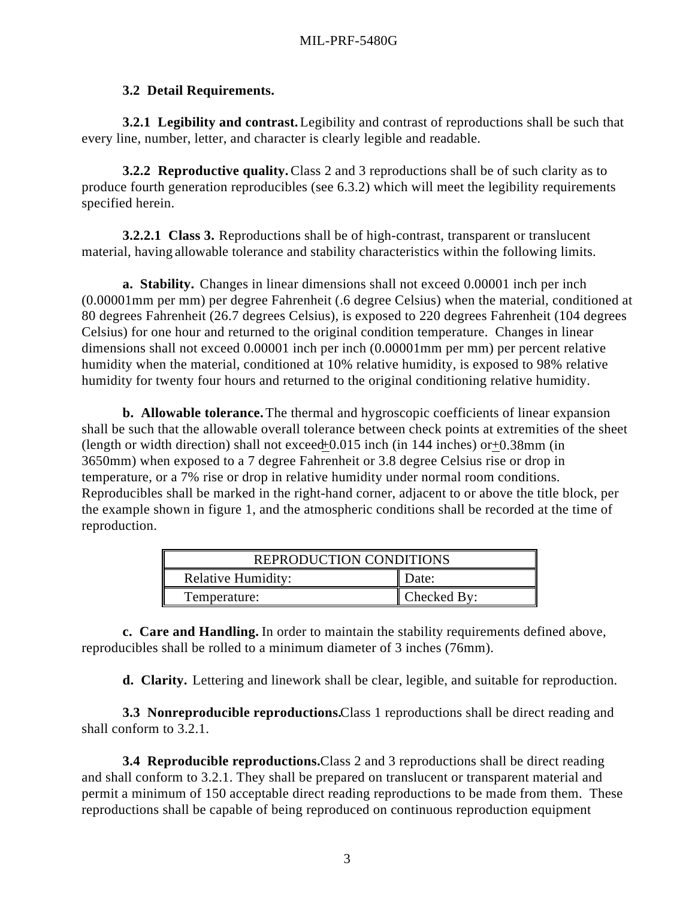## **3.2 Detail Requirements.**

**3.2.1 Legibility and contrast.** Legibility and contrast of reproductions shall be such that every line, number, letter, and character is clearly legible and readable.

**3.2.2 Reproductive quality.** Class 2 and 3 reproductions shall be of such clarity as to produce fourth generation reproducibles (see 6.3.2) which will meet the legibility requirements specified herein.

**3.2.2.1 Class 3.** Reproductions shall be of high-contrast, transparent or translucent material, having allowable tolerance and stability characteristics within the following limits.

**a. Stability.** Changes in linear dimensions shall not exceed 0.00001 inch per inch (0.00001mm per mm) per degree Fahrenheit (.6 degree Celsius) when the material, conditioned at 80 degrees Fahrenheit (26.7 degrees Celsius), is exposed to 220 degrees Fahrenheit (104 degrees Celsius) for one hour and returned to the original condition temperature. Changes in linear dimensions shall not exceed 0.00001 inch per inch (0.00001mm per mm) per percent relative humidity when the material, conditioned at 10% relative humidity, is exposed to 98% relative humidity for twenty four hours and returned to the original conditioning relative humidity.

**b. Allowable tolerance.** The thermal and hygroscopic coefficients of linear expansion shall be such that the allowable overall tolerance between check points at extremities of the sheet (length or width direction) shall not exceed  $+0.015$  inch (in 144 inches) or  $+0.38$ mm (in 3650mm) when exposed to a 7 degree Fahrenheit or 3.8 degree Celsius rise or drop in temperature, or a 7% rise or drop in relative humidity under normal room conditions. Reproducibles shall be marked in the right-hand corner, adjacent to or above the title block, per the example shown in figure 1, and the atmospheric conditions shall be recorded at the time of reproduction.

| REPRODUCTION CONDITIONS   |             |  |
|---------------------------|-------------|--|
| <b>Relative Humidity:</b> | Date:       |  |
| Temperature:              | Checked By: |  |

**c. Care and Handling.** In order to maintain the stability requirements defined above, reproducibles shall be rolled to a minimum diameter of 3 inches (76mm).

**d. Clarity.** Lettering and linework shall be clear, legible, and suitable for reproduction.

**3.3 Nonreproducible reproductions.** Class 1 reproductions shall be direct reading and shall conform to 3.2.1.

**3.4 Reproducible reproductions.** Class 2 and 3 reproductions shall be direct reading and shall conform to 3.2.1. They shall be prepared on translucent or transparent material and permit a minimum of 150 acceptable direct reading reproductions to be made from them. These reproductions shall be capable of being reproduced on continuous reproduction equipment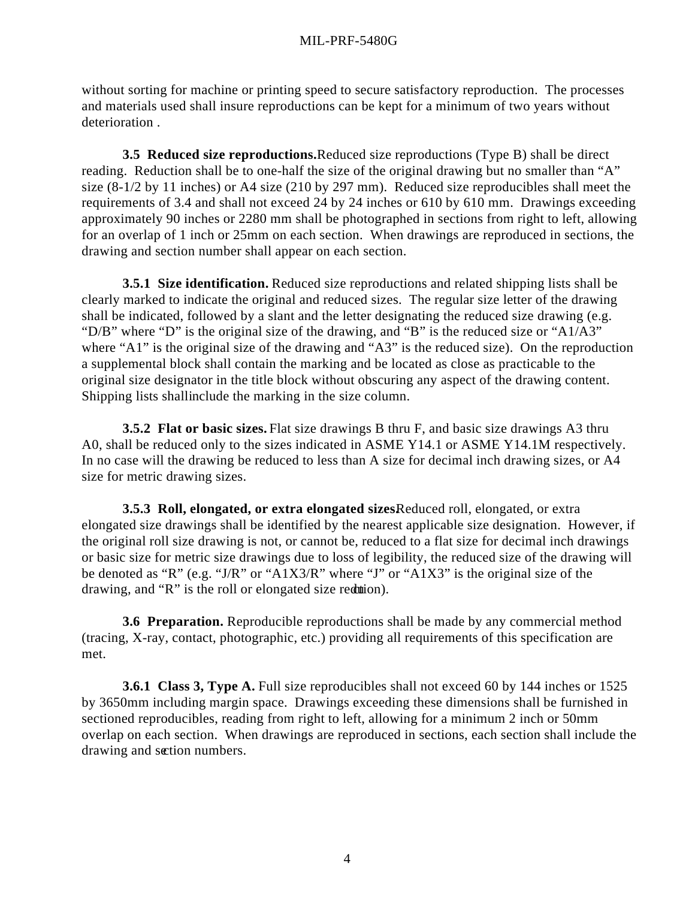without sorting for machine or printing speed to secure satisfactory reproduction. The processes and materials used shall insure reproductions can be kept for a minimum of two years without deterioration .

**3.5 Reduced size reproductions.** Reduced size reproductions (Type B) shall be direct reading. Reduction shall be to one-half the size of the original drawing but no smaller than "A" size (8-1/2 by 11 inches) or A4 size (210 by 297 mm). Reduced size reproducibles shall meet the requirements of 3.4 and shall not exceed 24 by 24 inches or 610 by 610 mm. Drawings exceeding approximately 90 inches or 2280 mm shall be photographed in sections from right to left, allowing for an overlap of 1 inch or 25mm on each section. When drawings are reproduced in sections, the drawing and section number shall appear on each section.

**3.5.1 Size identification.** Reduced size reproductions and related shipping lists shall be clearly marked to indicate the original and reduced sizes. The regular size letter of the drawing shall be indicated, followed by a slant and the letter designating the reduced size drawing (e.g. "D/B" where "D" is the original size of the drawing, and "B" is the reduced size or "A1/A3" where "A1" is the original size of the drawing and "A3" is the reduced size). On the reproduction a supplemental block shall contain the marking and be located as close as practicable to the original size designator in the title block without obscuring any aspect of the drawing content. Shipping lists shall include the marking in the size column.

**3.5.2 Flat or basic sizes.** Flat size drawings B thru F, and basic size drawings A3 thru A0, shall be reduced only to the sizes indicated in ASME Y14.1 or ASME Y14.1M respectively. In no case will the drawing be reduced to less than A size for decimal inch drawing sizes, or A4 size for metric drawing sizes.

**3.5.3 Roll, elongated, or extra elongated sizes.** Reduced roll, elongated, or extra elongated size drawings shall be identified by the nearest applicable size designation. However, if the original roll size drawing is not, or cannot be, reduced to a flat size for decimal inch drawings or basic size for metric size drawings due to loss of legibility, the reduced size of the drawing will be denoted as "R" (e.g. "J/R" or "A1X3/R" where "J" or "A1X3" is the original size of the drawing, and " $R$ " is the roll or elongated size reduction).

**3.6 Preparation.** Reproducible reproductions shall be made by any commercial method (tracing, X-ray, contact, photographic, etc.) providing all requirements of this specification are met.

**3.6.1 Class 3, Type A.** Full size reproducibles shall not exceed 60 by 144 inches or 1525 by 3650mm including margin space. Drawings exceeding these dimensions shall be furnished in sectioned reproducibles, reading from right to left, allowing for a minimum 2 inch or 50mm overlap on each section. When drawings are reproduced in sections, each section shall include the drawing and section numbers.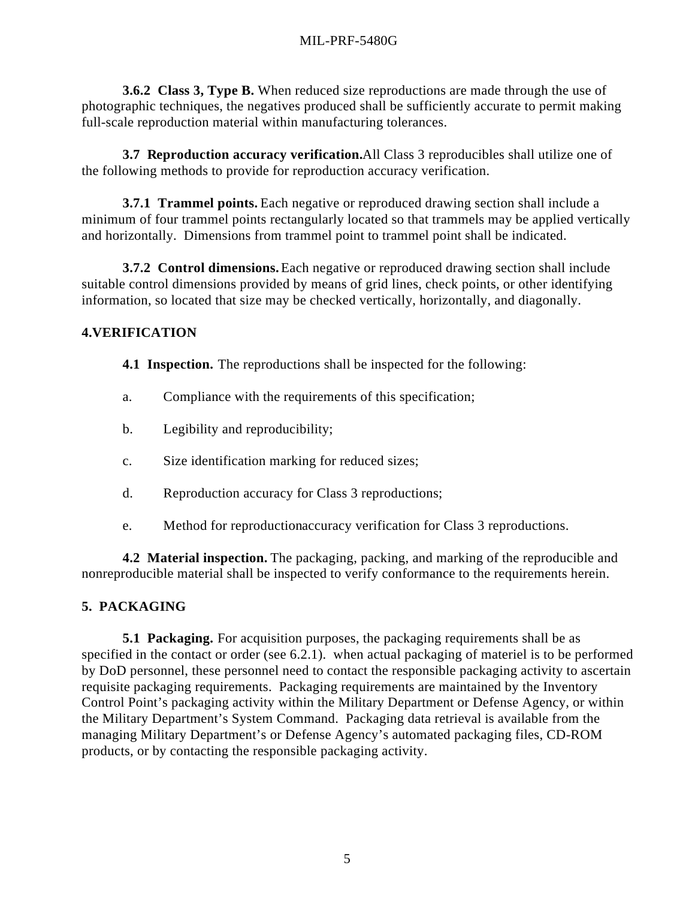**3.6.2 Class 3, Type B.** When reduced size reproductions are made through the use of photographic techniques, the negatives produced shall be sufficiently accurate to permit making full-scale reproduction material within manufacturing tolerances.

**3.7 Reproduction accuracy verification.** All Class 3 reproducibles shall utilize one of the following methods to provide for reproduction accuracy verification.

**3.7.1 Trammel points.** Each negative or reproduced drawing section shall include a minimum of four trammel points rectangularly located so that trammels may be applied vertically and horizontally. Dimensions from trammel point to trammel point shall be indicated.

**3.7.2 Control dimensions.** Each negative or reproduced drawing section shall include suitable control dimensions provided by means of grid lines, check points, or other identifying information, so located that size may be checked vertically, horizontally, and diagonally.

## **4.VERIFICATION**

**4.1 Inspection.** The reproductions shall be inspected for the following:

- a. Compliance with the requirements of this specification;
- b. Legibility and reproducibility;
- c. Size identification marking for reduced sizes;
- d. Reproduction accuracy for Class 3 reproductions;
- e. Method for reproduction accuracy verification for Class 3 reproductions.

**4.2 Material inspection.** The packaging, packing, and marking of the reproducible and nonreproducible material shall be inspected to verify conformance to the requirements herein.

# **5. PACKAGING**

**5.1 Packaging.** For acquisition purposes, the packaging requirements shall be as specified in the contact or order (see 6.2.1). when actual packaging of materiel is to be performed by DoD personnel, these personnel need to contact the responsible packaging activity to ascertain requisite packaging requirements. Packaging requirements are maintained by the Inventory Control Point's packaging activity within the Military Department or Defense Agency, or within the Military Department's System Command. Packaging data retrieval is available from the managing Military Department's or Defense Agency's automated packaging files, CD-ROM products, or by contacting the responsible packaging activity.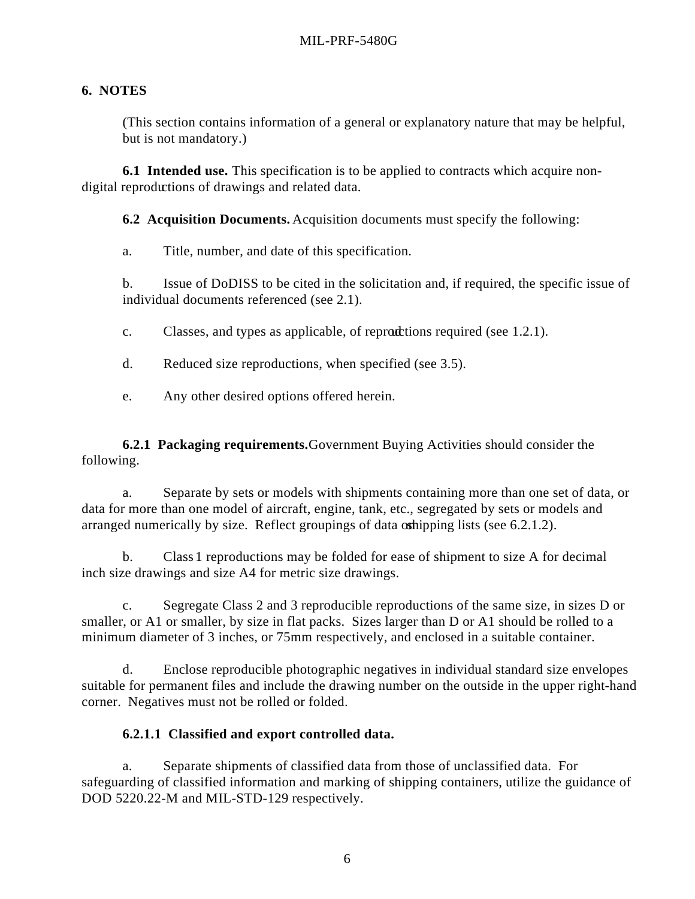## **6. NOTES**

(This section contains information of a general or explanatory nature that may be helpful, but is not mandatory.)

**6.1 Intended use.** This specification is to be applied to contracts which acquire nondigital reproductions of drawings and related data.

**6.2 Acquisition Documents.** Acquisition documents must specify the following:

a. Title, number, and date of this specification.

b. Issue of DoDISS to be cited in the solicitation and, if required, the specific issue of individual documents referenced (see 2.1).

- c. Classes, and types as applicable, of reproductions required (see  $1.2.1$ ).
- d. Reduced size reproductions, when specified (see 3.5).
- e. Any other desired options offered herein.

**6.2.1 Packaging requirements.** Government Buying Activities should consider the following.

a. Separate by sets or models with shipments containing more than one set of data, or data for more than one model of aircraft, engine, tank, etc., segregated by sets or models and arranged numerically by size. Reflect groupings of data orthipping lists (see  $6.2.1.2$ ).

b. Class 1 reproductions may be folded for ease of shipment to size A for decimal inch size drawings and size A4 for metric size drawings.

c. Segregate Class 2 and 3 reproducible reproductions of the same size, in sizes D or smaller, or A1 or smaller, by size in flat packs. Sizes larger than D or A1 should be rolled to a minimum diameter of 3 inches, or 75mm respectively, and enclosed in a suitable container.

d. Enclose reproducible photographic negatives in individual standard size envelopes suitable for permanent files and include the drawing number on the outside in the upper right-hand corner. Negatives must not be rolled or folded.

## **6.2.1.1 Classified and export controlled data.**

a. Separate shipments of classified data from those of unclassified data. For safeguarding of classified information and marking of shipping containers, utilize the guidance of DOD 5220.22-M and MIL-STD-129 respectively.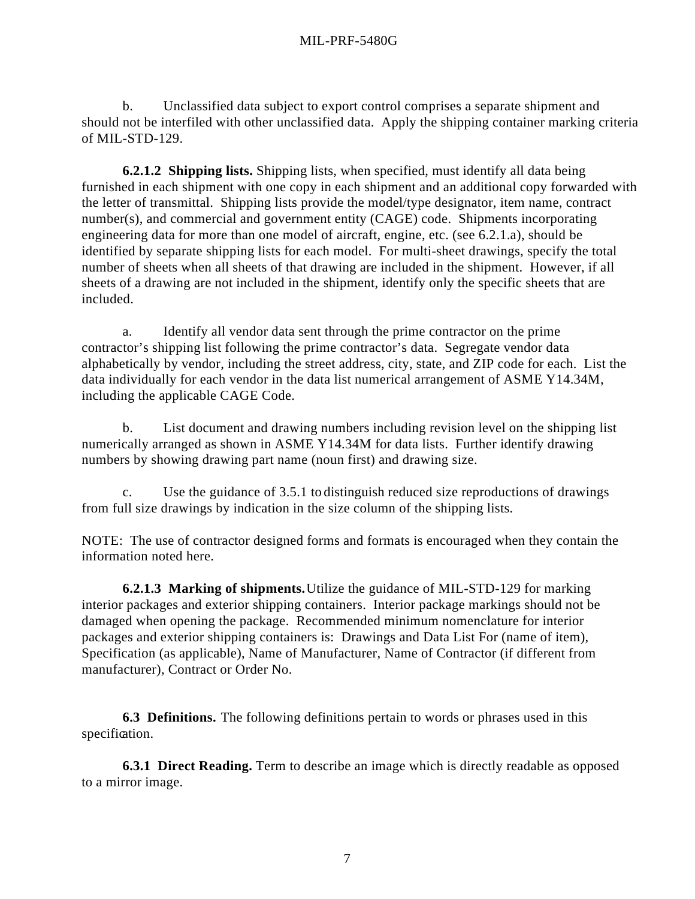b. Unclassified data subject to export control comprises a separate shipment and should not be interfiled with other unclassified data. Apply the shipping container marking criteria of MIL-STD-129.

**6.2.1.2 Shipping lists.** Shipping lists, when specified, must identify all data being furnished in each shipment with one copy in each shipment and an additional copy forwarded with the letter of transmittal. Shipping lists provide the model/type designator, item name, contract number(s), and commercial and government entity (CAGE) code. Shipments incorporating engineering data for more than one model of aircraft, engine, etc. (see 6.2.1.a), should be identified by separate shipping lists for each model. For multi-sheet drawings, specify the total number of sheets when all sheets of that drawing are included in the shipment. However, if all sheets of a drawing are not included in the shipment, identify only the specific sheets that are included.

a. Identify all vendor data sent through the prime contractor on the prime contractor's shipping list following the prime contractor's data. Segregate vendor data alphabetically by vendor, including the street address, city, state, and ZIP code for each. List the data individually for each vendor in the data list numerical arrangement of ASME Y14.34M, including the applicable CAGE Code.

b. List document and drawing numbers including revision level on the shipping list numerically arranged as shown in ASME Y14.34M for data lists. Further identify drawing numbers by showing drawing part name (noun first) and drawing size.

c. Use the guidance of 3.5.1 to distinguish reduced size reproductions of drawings from full size drawings by indication in the size column of the shipping lists.

NOTE: The use of contractor designed forms and formats is encouraged when they contain the information noted here.

**6.2.1.3 Marking of shipments.** Utilize the guidance of MIL-STD-129 for marking interior packages and exterior shipping containers. Interior package markings should not be damaged when opening the package. Recommended minimum nomenclature for interior packages and exterior shipping containers is: Drawings and Data List For (name of item), Specification (as applicable), Name of Manufacturer, Name of Contractor (if different from manufacturer), Contract or Order No.

**6.3 Definitions.** The following definitions pertain to words or phrases used in this specification.

**6.3.1 Direct Reading.** Term to describe an image which is directly readable as opposed to a mirror image.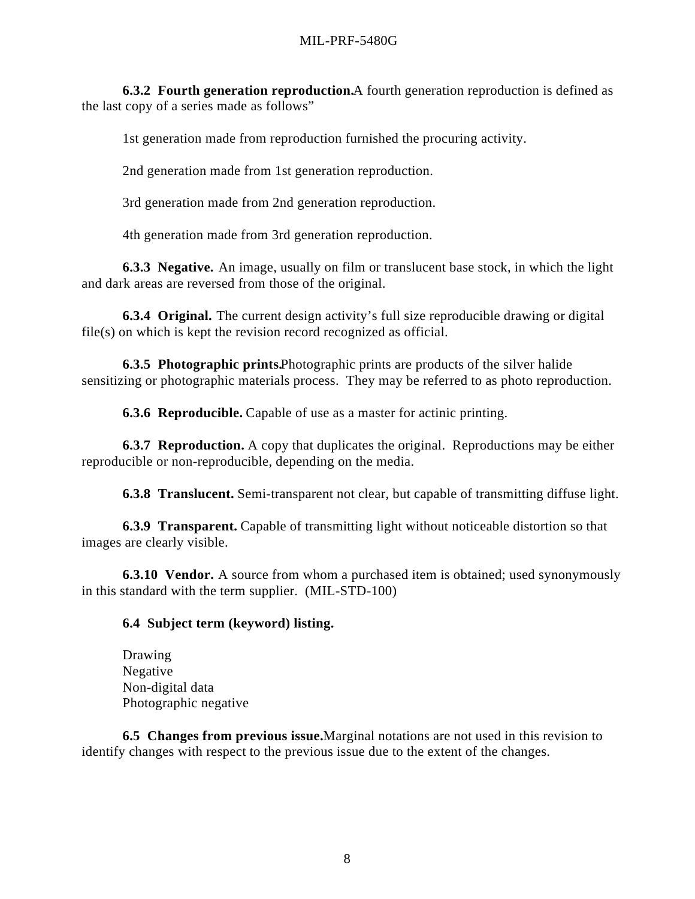#### MIL-PRF-5480G

**6.3.2 Fourth generation reproduction.** A fourth generation reproduction is defined as the last copy of a series made as follows"

1st generation made from reproduction furnished the procuring activity.

2nd generation made from 1st generation reproduction.

3rd generation made from 2nd generation reproduction.

4th generation made from 3rd generation reproduction.

**6.3.3 Negative.** An image, usually on film or translucent base stock, in which the light and dark areas are reversed from those of the original.

**6.3.4 Original.** The current design activity's full size reproducible drawing or digital file(s) on which is kept the revision record recognized as official.

**6.3.5 Photographic prints.** Photographic prints are products of the silver halide sensitizing or photographic materials process. They may be referred to as photo reproduction.

**6.3.6 Reproducible.** Capable of use as a master for actinic printing.

**6.3.7 Reproduction.** A copy that duplicates the original. Reproductions may be either reproducible or non-reproducible, depending on the media.

**6.3.8 Translucent.** Semi-transparent not clear, but capable of transmitting diffuse light.

**6.3.9 Transparent.** Capable of transmitting light without noticeable distortion so that images are clearly visible.

**6.3.10 Vendor.** A source from whom a purchased item is obtained; used synonymously in this standard with the term supplier. (MIL-STD-100)

## **6.4 Subject term (keyword) listing.**

Drawing Negative Non-digital data Photographic negative

**6.5 Changes from previous issue.** Marginal notations are not used in this revision to identify changes with respect to the previous issue due to the extent of the changes.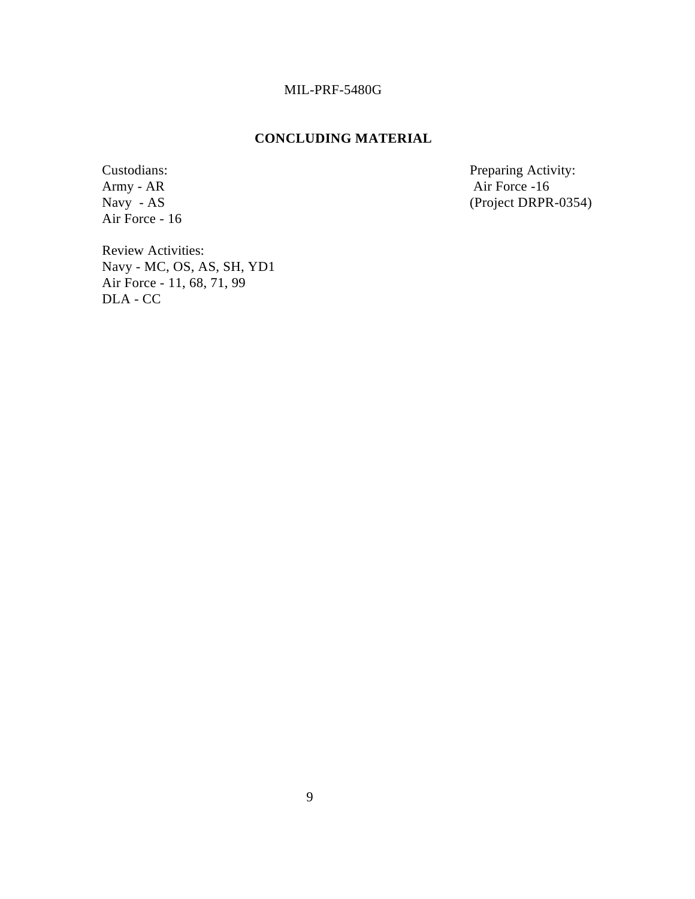## MIL-PRF-5480G

## **CONCLUDING MATERIAL**

Army - AR Air Force -16<br>Navy - AS (Project DRPR) Air Force - 16

Custodians: Preparing Activity: Preparing Activity: Army - AR air Force -16  $(Project DRPR-0354)$ 

Review Activities: Navy - MC, OS, AS, SH, YD1 Air Force - 11, 68, 71, 99 DLA - CC